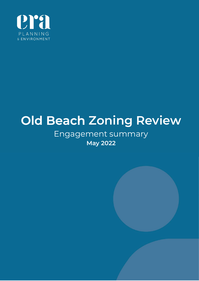

# Old Beach Zoning Review

# Engagement summary May 2022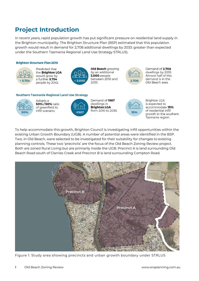## Project Introduction

In recent years, rapid population growth has put significant pressure on residential land supply in the Brighton municipality. The Brighton Structure Plan (BSP) estimated that this population growth would result in demand for 2,708 additional dwellings by 2033: greater than expected under the Southern Tasmania Regional Land Use Strategy STRLUS).

#### **Brighton Structure Plan 2018**



Predicted that the **Brighton LGA** would grow by a further 5.754 people by 2042.



**Old Beach** growing by an additional **3,000 people** between 2018 and 2033.



Demand of 2.708 dwellings by 2033. Almost half of this demand is in the Old Beach area.

#### **Southern Tasmania Regional Land Use Strategy**



Adopts a 50% / 50% ratio of greenfield to infill scenario.



Demand of 1987 dwellings in **Brighton LGA** from 2010 to 2035.



**Brighton LGA** is expected to accommodate 15% of residential infill growth in the southern Tasmania region.

To help accommodate this growth, Brighton Council is investigating infill opportunities within the existing Urban Growth Boundary (UGB). A number of potential areas were identified in the BSP. Two, in Old Beach, were selected to be investigated for their suitability for changes to existing planning controls. These two 'precincts' are the focus of the Old Beach Zoning Review project. Both are zoned Rural Living but are primarily inside the UGB. Precinct A is land surrounding Old Beach Road south of Clarries Creek and Precinct B is land surrounding Compton Road.



Figure 1: Study area showing precincts and urban growth boundary under STRLUS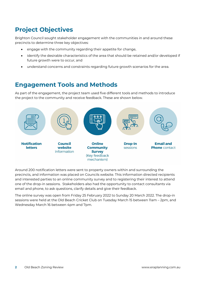## Project Objectives

Brighton Council sought stakeholder engagement with the communities in and around these precincts to determine three key objectives:

- engage with the community regarding their appetite for change,
- identify the desirable characteristics of the area that should be retained and/or developed if future growth were to occur, and
- understand concerns and constraints regarding future growth scenarios for the area.

## Engagement Tools and Methods

As part of the engagement, the project team used five different tools and methods to introduce the project to the community and receive feedback. These are shown below.



Around 200 notification letters were sent to property owners within and surrounding the precincts, and information was placed on Councils website. This information directed recipients and interested parties to an online community survey and to registering their interest to attend one of the drop-in sessions. Stakeholders also had the opportunity to contact consultants via email and phone, to ask questions, clarify details and give their feedback.

The online survey was open from Friday 25 February 2022 to Sunday 20 March 2022. The drop-in sessions were held at the Old Beach Cricket Club on Tuesday March 15 between 11am – 2pm, and Wednesday March 16 between 4pm and 7pm.